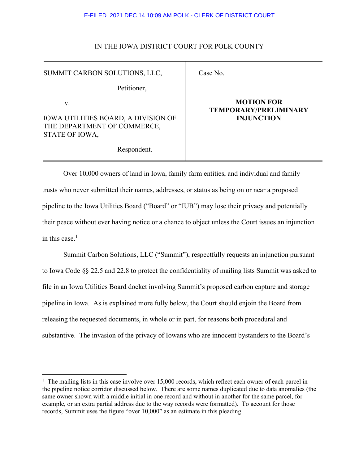## IN THE IOWA DISTRICT COURT FOR POLK COUNTY

Case No.

SUMMIT CARBON SOLUTIONS, LLC,

Petitioner,

v.

IOWA UTILITIES BOARD, A DIVISION OF THE DEPARTMENT OF COMMERCE, STATE OF IOWA,

# **MOTION FOR**

# **TEMPORARY/PRELIMINARY INJUNCTION**

Respondent.

Over 10,000 owners of land in Iowa, family farm entities, and individual and family trusts who never submitted their names, addresses, or status as being on or near a proposed pipeline to the Iowa Utilities Board ("Board" or "IUB") may lose their privacy and potentially their peace without ever having notice or a chance to object unless the Court issues an injunction in this case. $<sup>1</sup>$  $<sup>1</sup>$  $<sup>1</sup>$ </sup>

Summit Carbon Solutions, LLC ("Summit"), respectfully requests an injunction pursuant to Iowa Code §§ 22.5 and 22.8 to protect the confidentiality of mailing lists Summit was asked to file in an Iowa Utilities Board docket involving Summit's proposed carbon capture and storage pipeline in Iowa. As is explained more fully below, the Court should enjoin the Board from releasing the requested documents, in whole or in part, for reasons both procedural and substantive. The invasion of the privacy of Iowans who are innocent bystanders to the Board's

<span id="page-0-0"></span> $1$  The mailing lists in this case involve over 15,000 records, which reflect each owner of each parcel in the pipeline notice corridor discussed below. There are some names duplicated due to data anomalies (the same owner shown with a middle initial in one record and without in another for the same parcel, for example, or an extra partial address due to the way records were formatted). To account for those records, Summit uses the figure "over 10,000" as an estimate in this pleading.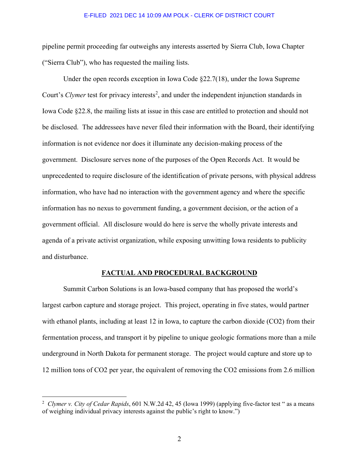pipeline permit proceeding far outweighs any interests asserted by Sierra Club, Iowa Chapter ("Sierra Club"), who has requested the mailing lists.

Under the open records exception in Iowa Code  $\S 22.7(18)$ , under the Iowa Supreme Court's *Clymer* test for privacy interests<sup>[2](#page-1-0)</sup>, and under the independent injunction standards in Iowa Code §22.8, the mailing lists at issue in this case are entitled to protection and should not be disclosed. The addressees have never filed their information with the Board, their identifying information is not evidence nor does it illuminate any decision-making process of the government. Disclosure serves none of the purposes of the Open Records Act. It would be unprecedented to require disclosure of the identification of private persons, with physical address information, who have had no interaction with the government agency and where the specific information has no nexus to government funding, a government decision, or the action of a government official. All disclosure would do here is serve the wholly private interests and agenda of a private activist organization, while exposing unwitting Iowa residents to publicity and disturbance.

## **FACTUAL AND PROCEDURAL BACKGROUND**

Summit Carbon Solutions is an Iowa-based company that has proposed the world's largest carbon capture and storage project. This project, operating in five states, would partner with ethanol plants, including at least 12 in Iowa, to capture the carbon dioxide (CO2) from their fermentation process, and transport it by pipeline to unique geologic formations more than a mile underground in North Dakota for permanent storage. The project would capture and store up to 12 million tons of CO2 per year, the equivalent of removing the CO2 emissions from 2.6 million

<span id="page-1-0"></span><sup>2</sup> *Clymer v. City of Cedar Rapids*, 601 N.W.2d 42, 45 (Iowa 1999) (applying five-factor test " as a means of weighing individual privacy interests against the public's right to know.")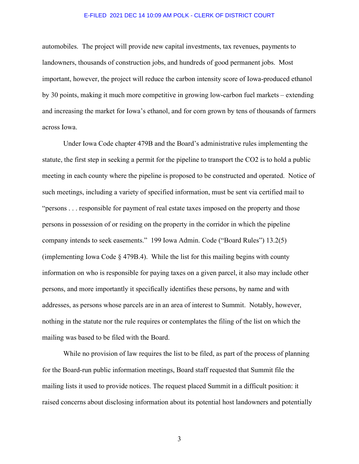automobiles. The project will provide new capital investments, tax revenues, payments to landowners, thousands of construction jobs, and hundreds of good permanent jobs. Most important, however, the project will reduce the carbon intensity score of Iowa-produced ethanol by 30 points, making it much more competitive in growing low-carbon fuel markets – extending and increasing the market for Iowa's ethanol, and for corn grown by tens of thousands of farmers across Iowa.

Under Iowa Code chapter 479B and the Board's administrative rules implementing the statute, the first step in seeking a permit for the pipeline to transport the CO2 is to hold a public meeting in each county where the pipeline is proposed to be constructed and operated. Notice of such meetings, including a variety of specified information, must be sent via certified mail to "persons . . . responsible for payment of real estate taxes imposed on the property and those persons in possession of or residing on the property in the corridor in which the pipeline company intends to seek easements." 199 Iowa Admin. Code ("Board Rules") 13.2(5) (implementing Iowa Code § 479B.4). While the list for this mailing begins with county information on who is responsible for paying taxes on a given parcel, it also may include other persons, and more importantly it specifically identifies these persons, by name and with addresses, as persons whose parcels are in an area of interest to Summit. Notably, however, nothing in the statute nor the rule requires or contemplates the filing of the list on which the mailing was based to be filed with the Board.

While no provision of law requires the list to be filed, as part of the process of planning for the Board-run public information meetings, Board staff requested that Summit file the mailing lists it used to provide notices. The request placed Summit in a difficult position: it raised concerns about disclosing information about its potential host landowners and potentially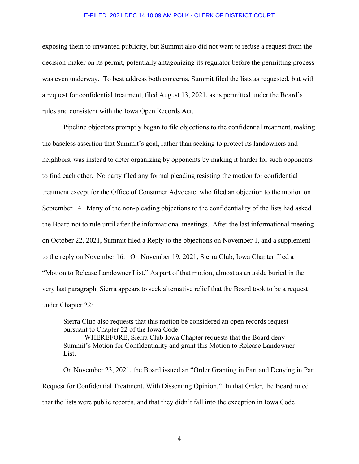exposing them to unwanted publicity, but Summit also did not want to refuse a request from the decision-maker on its permit, potentially antagonizing its regulator before the permitting process was even underway. To best address both concerns, Summit filed the lists as requested, but with a request for confidential treatment, filed August 13, 2021, as is permitted under the Board's rules and consistent with the Iowa Open Records Act.

Pipeline objectors promptly began to file objections to the confidential treatment, making the baseless assertion that Summit's goal, rather than seeking to protect its landowners and neighbors, was instead to deter organizing by opponents by making it harder for such opponents to find each other. No party filed any formal pleading resisting the motion for confidential treatment except for the Office of Consumer Advocate, who filed an objection to the motion on September 14. Many of the non-pleading objections to the confidentiality of the lists had asked the Board not to rule until after the informational meetings. After the last informational meeting on October 22, 2021, Summit filed a Reply to the objections on November 1, and a supplement to the reply on November 16. On November 19, 2021, Sierra Club, Iowa Chapter filed a "Motion to Release Landowner List." As part of that motion, almost as an aside buried in the very last paragraph, Sierra appears to seek alternative relief that the Board took to be a request under Chapter 22:

Sierra Club also requests that this motion be considered an open records request pursuant to Chapter 22 of the Iowa Code.

WHEREFORE, Sierra Club Iowa Chapter requests that the Board deny Summit's Motion for Confidentiality and grant this Motion to Release Landowner List.

On November 23, 2021, the Board issued an "Order Granting in Part and Denying in Part Request for Confidential Treatment, With Dissenting Opinion." In that Order, the Board ruled that the lists were public records, and that they didn't fall into the exception in Iowa Code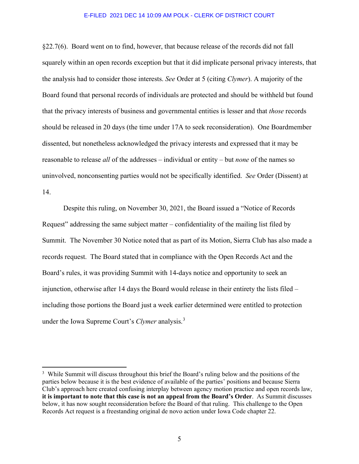§22.7(6). Board went on to find, however, that because release of the records did not fall squarely within an open records exception but that it did implicate personal privacy interests, that the analysis had to consider those interests. *See* Order at 5 (citing *Clymer*). A majority of the Board found that personal records of individuals are protected and should be withheld but found that the privacy interests of business and governmental entities is lesser and that *those* records should be released in 20 days (the time under 17A to seek reconsideration). One Boardmember dissented, but nonetheless acknowledged the privacy interests and expressed that it may be reasonable to release *all* of the addresses – individual or entity – but *none* of the names so uninvolved, nonconsenting parties would not be specifically identified. *See* Order (Dissent) at 14.

Despite this ruling, on November 30, 2021, the Board issued a "Notice of Records Request" addressing the same subject matter – confidentiality of the mailing list filed by Summit. The November 30 Notice noted that as part of its Motion, Sierra Club has also made a records request. The Board stated that in compliance with the Open Records Act and the Board's rules, it was providing Summit with 14-days notice and opportunity to seek an injunction, otherwise after 14 days the Board would release in their entirety the lists filed – including those portions the Board just a week earlier determined were entitled to protection under the Iowa Supreme Court's *Clymer* analysis.[3](#page-4-0)

<span id="page-4-0"></span><sup>&</sup>lt;sup>3</sup> While Summit will discuss throughout this brief the Board's ruling below and the positions of the parties below because it is the best evidence of available of the parties' positions and because Sierra Club's approach here created confusing interplay between agency motion practice and open records law, **it is important to note that this case is not an appeal from the Board's Order**. As Summit discusses below, it has now sought reconsideration before the Board of that ruling. This challenge to the Open Records Act request is a freestanding original de novo action under Iowa Code chapter 22.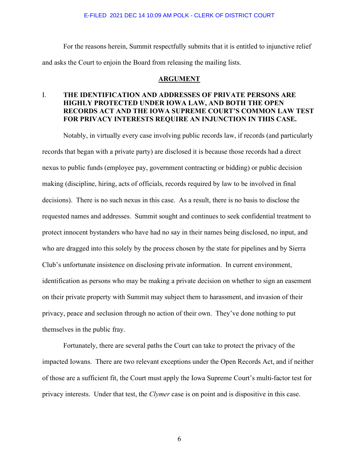For the reasons herein, Summit respectfully submits that it is entitled to injunctive relief and asks the Court to enjoin the Board from releasing the mailing lists.

## **ARGUMENT**

# I. **THE IDENTIFICATION AND ADDRESSES OF PRIVATE PERSONS ARE HIGHLY PROTECTED UNDER IOWA LAW, AND BOTH THE OPEN RECORDS ACT AND THE IOWA SUPREME COURT'S COMMON LAW TEST FOR PRIVACY INTERESTS REQUIRE AN INJUNCTION IN THIS CASE.**

Notably, in virtually every case involving public records law, if records (and particularly records that began with a private party) are disclosed it is because those records had a direct nexus to public funds (employee pay, government contracting or bidding) or public decision making (discipline, hiring, acts of officials, records required by law to be involved in final decisions). There is no such nexus in this case. As a result, there is no basis to disclose the requested names and addresses. Summit sought and continues to seek confidential treatment to protect innocent bystanders who have had no say in their names being disclosed, no input, and who are dragged into this solely by the process chosen by the state for pipelines and by Sierra Club's unfortunate insistence on disclosing private information. In current environment, identification as persons who may be making a private decision on whether to sign an easement on their private property with Summit may subject them to harassment, and invasion of their privacy, peace and seclusion through no action of their own. They've done nothing to put themselves in the public fray.

Fortunately, there are several paths the Court can take to protect the privacy of the impacted Iowans. There are two relevant exceptions under the Open Records Act, and if neither of those are a sufficient fit, the Court must apply the Iowa Supreme Court's multi-factor test for privacy interests. Under that test, the *Clymer* case is on point and is dispositive in this case.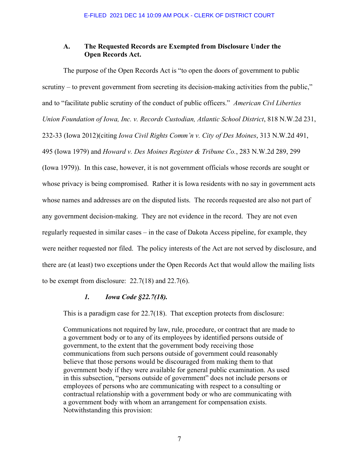# **A. The Requested Records are Exempted from Disclosure Under the Open Records Act.**

The purpose of the Open Records Act is "to open the doors of government to public scrutiny – to prevent government from secreting its decision-making activities from the public," and to "facilitate public scrutiny of the conduct of public officers." *American Civl Liberties Union Foundation of Iowa, Inc. v. Records Custodian, Atlantic School District*, 818 N.W.2d 231, 232-33 (Iowa 2012)(citing *Iowa Civil Rights Comm'n v. City of Des Moines*, 313 N.W.2d 491, 495 (Iowa 1979) and *Howard v. Des Moines Register & Tribune Co.*, 283 N.W.2d 289, 299 (Iowa 1979)). In this case, however, it is not government officials whose records are sought or whose privacy is being compromised. Rather it is Iowa residents with no say in government acts whose names and addresses are on the disputed lists. The records requested are also not part of any government decision-making. They are not evidence in the record. They are not even regularly requested in similar cases – in the case of Dakota Access pipeline, for example, they were neither requested nor filed. The policy interests of the Act are not served by disclosure, and there are (at least) two exceptions under the Open Records Act that would allow the mailing lists to be exempt from disclosure: 22.7(18) and 22.7(6).

# *1. Iowa Code §22.7(18).*

This is a paradigm case for 22.7(18). That exception protects from disclosure:

Communications not required by law, rule, procedure, or contract that are made to a government body or to any of its employees by identified persons outside of government, to the extent that the government body receiving those communications from such persons outside of government could reasonably believe that those persons would be discouraged from making them to that government body if they were available for general public examination. As used in this subsection, "persons outside of government" does not include persons or employees of persons who are communicating with respect to a consulting or contractual relationship with a government body or who are communicating with a government body with whom an arrangement for compensation exists. Notwithstanding this provision: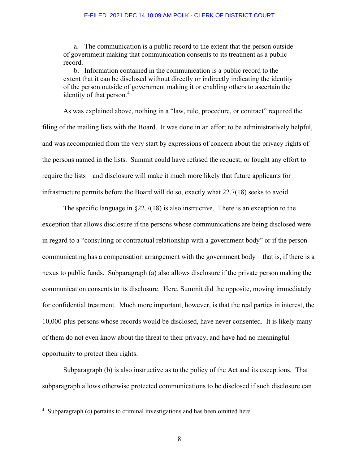a. The communication is a public record to the extent that the person outside of government making that communication consents to its treatment as a public record.

 b. Information contained in the communication is a public record to the extent that it can be disclosed without directly or indirectly indicating the identity of the person outside of government making it or enabling others to ascertain the identity of that person.<sup>[4](#page-7-0)</sup>

As was explained above, nothing in a "law, rule, procedure, or contract" required the filing of the mailing lists with the Board. It was done in an effort to be administratively helpful, and was accompanied from the very start by expressions of concern about the privacy rights of the persons named in the lists. Summit could have refused the request, or fought any effort to require the lists – and disclosure will make it much more likely that future applicants for infrastructure permits before the Board will do so, exactly what 22.7(18) seeks to avoid.

The specific language in  $\S 22.7(18)$  is also instructive. There is an exception to the exception that allows disclosure if the persons whose communications are being disclosed were in regard to a "consulting or contractual relationship with a government body" or if the person communicating has a compensation arrangement with the government body – that is, if there is a nexus to public funds. Subparagraph (a) also allows disclosure if the private person making the communication consents to its disclosure. Here, Summit did the opposite, moving immediately for confidential treatment. Much more important, however, is that the real parties in interest, the 10,000-plus persons whose records would be disclosed, have never consented. It is likely many of them do not even know about the threat to their privacy, and have had no meaningful opportunity to protect their rights.

Subparagraph (b) is also instructive as to the policy of the Act and its exceptions. That subparagraph allows otherwise protected communications to be disclosed if such disclosure can

<span id="page-7-0"></span><sup>4</sup> Subparagraph (c) pertains to criminal investigations and has been omitted here.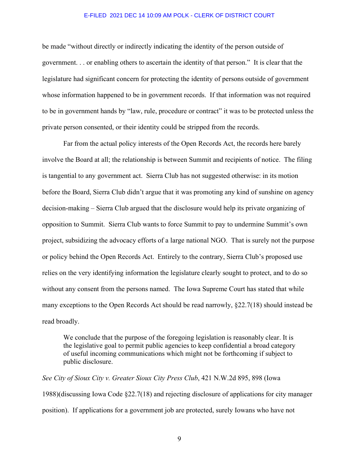be made "without directly or indirectly indicating the identity of the person outside of government. . . or enabling others to ascertain the identity of that person." It is clear that the legislature had significant concern for protecting the identity of persons outside of government whose information happened to be in government records. If that information was not required to be in government hands by "law, rule, procedure or contract" it was to be protected unless the private person consented, or their identity could be stripped from the records.

Far from the actual policy interests of the Open Records Act, the records here barely involve the Board at all; the relationship is between Summit and recipients of notice. The filing is tangential to any government act. Sierra Club has not suggested otherwise: in its motion before the Board, Sierra Club didn't argue that it was promoting any kind of sunshine on agency decision-making – Sierra Club argued that the disclosure would help its private organizing of opposition to Summit. Sierra Club wants to force Summit to pay to undermine Summit's own project, subsidizing the advocacy efforts of a large national NGO. That is surely not the purpose or policy behind the Open Records Act. Entirely to the contrary, Sierra Club's proposed use relies on the very identifying information the legislature clearly sought to protect, and to do so without any consent from the persons named. The Iowa Supreme Court has stated that while many exceptions to the Open Records Act should be read narrowly, §22.7(18) should instead be read broadly.

We conclude that the purpose of the foregoing legislation is reasonably clear. It is the legislative goal to permit public agencies to keep confidential a broad category of useful incoming communications which might not be forthcoming if subject to public disclosure.

*See City of Sioux City v. Greater Sioux City Press Club*, 421 N.W.2d 895, 898 (Iowa 1988)(discussing Iowa Code §22.7(18) and rejecting disclosure of applications for city manager position). If applications for a government job are protected, surely Iowans who have not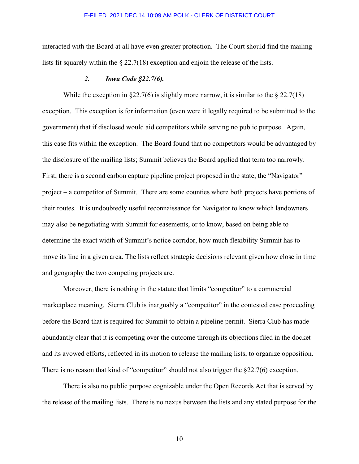interacted with the Board at all have even greater protection. The Court should find the mailing lists fit squarely within the § 22.7(18) exception and enjoin the release of the lists.

## *2. Iowa Code §22.7(6).*

While the exception in  $\S 22.7(6)$  is slightly more narrow, it is similar to the  $\S 22.7(18)$ exception. This exception is for information (even were it legally required to be submitted to the government) that if disclosed would aid competitors while serving no public purpose. Again, this case fits within the exception. The Board found that no competitors would be advantaged by the disclosure of the mailing lists; Summit believes the Board applied that term too narrowly. First, there is a second carbon capture pipeline project proposed in the state, the "Navigator" project – a competitor of Summit. There are some counties where both projects have portions of their routes. It is undoubtedly useful reconnaissance for Navigator to know which landowners may also be negotiating with Summit for easements, or to know, based on being able to determine the exact width of Summit's notice corridor, how much flexibility Summit has to move its line in a given area. The lists reflect strategic decisions relevant given how close in time and geography the two competing projects are.

Moreover, there is nothing in the statute that limits "competitor" to a commercial marketplace meaning. Sierra Club is inarguably a "competitor" in the contested case proceeding before the Board that is required for Summit to obtain a pipeline permit. Sierra Club has made abundantly clear that it is competing over the outcome through its objections filed in the docket and its avowed efforts, reflected in its motion to release the mailing lists, to organize opposition. There is no reason that kind of "competitor" should not also trigger the §22.7(6) exception.

There is also no public purpose cognizable under the Open Records Act that is served by the release of the mailing lists. There is no nexus between the lists and any stated purpose for the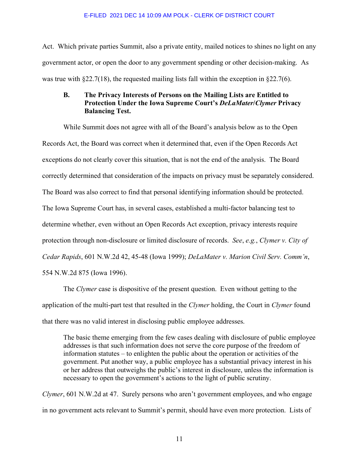Act. Which private parties Summit, also a private entity, mailed notices to shines no light on any government actor, or open the door to any government spending or other decision-making. As was true with §22.7(18), the requested mailing lists fall within the exception in §22.7(6).

# **B. The Privacy Interests of Persons on the Mailing Lists are Entitled to Protection Under the Iowa Supreme Court's** *DeLaMater***/***Clymer* **Privacy Balancing Test.**

While Summit does not agree with all of the Board's analysis below as to the Open Records Act, the Board was correct when it determined that, even if the Open Records Act exceptions do not clearly cover this situation, that is not the end of the analysis. The Board correctly determined that consideration of the impacts on privacy must be separately considered. The Board was also correct to find that personal identifying information should be protected. The Iowa Supreme Court has, in several cases, established a multi-factor balancing test to determine whether, even without an Open Records Act exception, privacy interests require protection through non-disclosure or limited disclosure of records. *See*, *e.g.*, *Clymer v. City of Cedar Rapids*, 601 N.W.2d 42, 45-48 (Iowa 1999); *DeLaMater v. Marion Civil Serv. Comm'n*, 554 N.W.2d 875 (Iowa 1996).

The *Clymer* case is dispositive of the present question. Even without getting to the application of the multi-part test that resulted in the *Clymer* holding, the Court in *Clymer* found that there was no valid interest in disclosing public employee addresses.

The basic theme emerging from the few cases dealing with disclosure of public employee addresses is that such information does not serve the core purpose of the freedom of information statutes – to enlighten the public about the operation or activities of the government. Put another way, a public employee has a substantial privacy interest in his or her address that outweighs the public's interest in disclosure, unless the information is necessary to open the government's actions to the light of public scrutiny.

*Clymer*, 601 N.W.2d at 47. Surely persons who aren't government employees, and who engage in no government acts relevant to Summit's permit, should have even more protection. Lists of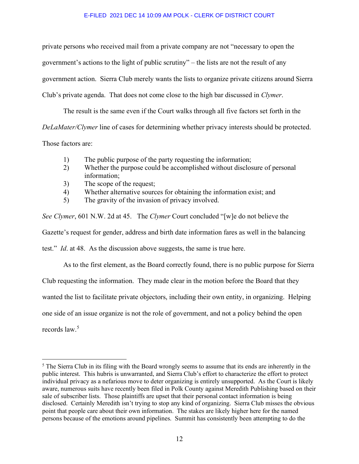private persons who received mail from a private company are not "necessary to open the government's actions to the light of public scrutiny" – the lists are not the result of any government action. Sierra Club merely wants the lists to organize private citizens around Sierra Club's private agenda. That does not come close to the high bar discussed in *Clymer*.

The result is the same even if the Court walks through all five factors set forth in the *DeLaMater/Clymer* line of cases for determining whether privacy interests should be protected.

Those factors are:

- 1) The public purpose of the party requesting the information;
- 2) Whether the purpose could be accomplished without disclosure of personal information;
- 3) The scope of the request;
- 4) Whether alternative sources for obtaining the information exist; and
- 5) The gravity of the invasion of privacy involved.

*See Clymer*, 601 N.W. 2d at 45. The *Clymer* Court concluded "[w]e do not believe the Gazette's request for gender, address and birth date information fares as well in the balancing test." *Id*. at 48. As the discussion above suggests, the same is true here.

As to the first element, as the Board correctly found, there is no public purpose for Sierra Club requesting the information. They made clear in the motion before the Board that they wanted the list to facilitate private objectors, including their own entity, in organizing. Helping one side of an issue organize is not the role of government, and not a policy behind the open records law.<sup>[5](#page-11-0)</sup>

<span id="page-11-0"></span><sup>&</sup>lt;sup>5</sup> The Sierra Club in its filing with the Board wrongly seems to assume that its ends are inherently in the public interest. This hubris is unwarranted, and Sierra Club's effort to characterize the effort to protect individual privacy as a nefarious move to deter organizing is entirely unsupported. As the Court is likely aware, numerous suits have recently been filed in Polk County against Meredith Publishing based on their sale of subscriber lists. Those plaintiffs are upset that their personal contact information is being disclosed. Certainly Meredith isn't trying to stop any kind of organizing. Sierra Club misses the obvious point that people care about their own information. The stakes are likely higher here for the named persons because of the emotions around pipelines. Summit has consistently been attempting to do the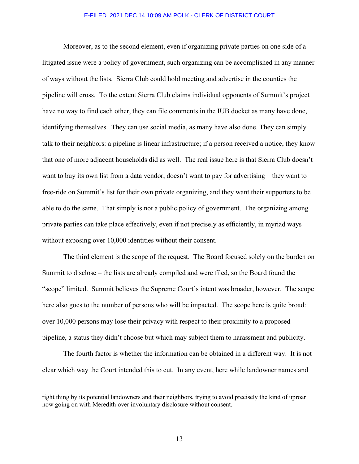Moreover, as to the second element, even if organizing private parties on one side of a litigated issue were a policy of government, such organizing can be accomplished in any manner of ways without the lists. Sierra Club could hold meeting and advertise in the counties the pipeline will cross. To the extent Sierra Club claims individual opponents of Summit's project have no way to find each other, they can file comments in the IUB docket as many have done, identifying themselves. They can use social media, as many have also done. They can simply talk to their neighbors: a pipeline is linear infrastructure; if a person received a notice, they know that one of more adjacent households did as well. The real issue here is that Sierra Club doesn't want to buy its own list from a data vendor, doesn't want to pay for advertising – they want to free-ride on Summit's list for their own private organizing, and they want their supporters to be able to do the same. That simply is not a public policy of government. The organizing among private parties can take place effectively, even if not precisely as efficiently, in myriad ways without exposing over 10,000 identities without their consent.

The third element is the scope of the request. The Board focused solely on the burden on Summit to disclose – the lists are already compiled and were filed, so the Board found the "scope" limited. Summit believes the Supreme Court's intent was broader, however. The scope here also goes to the number of persons who will be impacted. The scope here is quite broad: over 10,000 persons may lose their privacy with respect to their proximity to a proposed pipeline, a status they didn't choose but which may subject them to harassment and publicity.

The fourth factor is whether the information can be obtained in a different way. It is not clear which way the Court intended this to cut. In any event, here while landowner names and

right thing by its potential landowners and their neighbors, trying to avoid precisely the kind of uproar now going on with Meredith over involuntary disclosure without consent.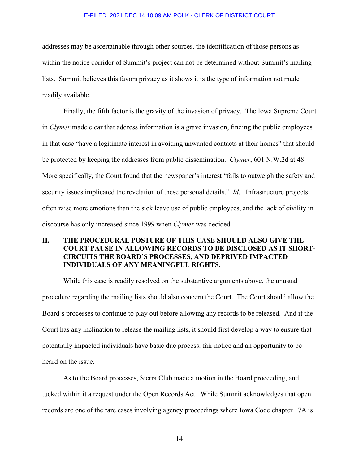addresses may be ascertainable through other sources, the identification of those persons as within the notice corridor of Summit's project can not be determined without Summit's mailing lists. Summit believes this favors privacy as it shows it is the type of information not made readily available.

Finally, the fifth factor is the gravity of the invasion of privacy. The Iowa Supreme Court in *Clymer* made clear that address information is a grave invasion, finding the public employees in that case "have a legitimate interest in avoiding unwanted contacts at their homes" that should be protected by keeping the addresses from public dissemination. *Clymer*, 601 N.W.2d at 48. More specifically, the Court found that the newspaper's interest "fails to outweigh the safety and security issues implicated the revelation of these personal details." *Id*. Infrastructure projects often raise more emotions than the sick leave use of public employees, and the lack of civility in discourse has only increased since 1999 when *Clymer* was decided.

# **II. THE PROCEDURAL POSTURE OF THIS CASE SHOULD ALSO GIVE THE COURT PAUSE IN ALLOWING RECORDS TO BE DISCLOSED AS IT SHORT-CIRCUITS THE BOARD'S PROCESSES, AND DEPRIVED IMPACTED INDIVIDUALS OF ANY MEANINGFUL RIGHTS.**

While this case is readily resolved on the substantive arguments above, the unusual procedure regarding the mailing lists should also concern the Court. The Court should allow the Board's processes to continue to play out before allowing any records to be released. And if the Court has any inclination to release the mailing lists, it should first develop a way to ensure that potentially impacted individuals have basic due process: fair notice and an opportunity to be heard on the issue.

As to the Board processes, Sierra Club made a motion in the Board proceeding, and tucked within it a request under the Open Records Act. While Summit acknowledges that open records are one of the rare cases involving agency proceedings where Iowa Code chapter 17A is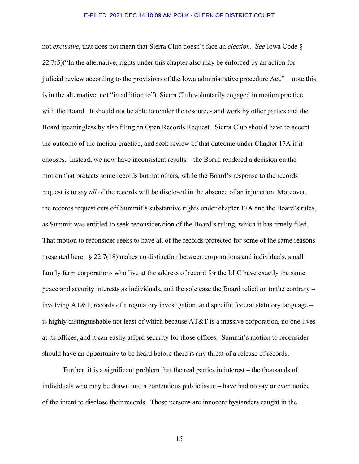not *exclusive*, that does not mean that Sierra Club doesn't face an *election*. *See* Iowa Code § 22.7(5)("In the alternative, rights under this chapter also may be enforced by an action for judicial review according to the provisions of the Iowa administrative procedure Act." – note this is in the alternative, not "in addition to") Sierra Club voluntarily engaged in motion practice with the Board. It should not be able to render the resources and work by other parties and the Board meaningless by also filing an Open Records Request. Sierra Club should have to accept the outcome of the motion practice, and seek review of that outcome under Chapter 17A if it chooses. Instead, we now have inconsistent results – the Board rendered a decision on the motion that protects some records but not others, while the Board's response to the records request is to say *all* of the records will be disclosed in the absence of an injunction. Moreover, the records request cuts off Summit's substantive rights under chapter 17A and the Board's rules, as Summit was entitled to seek reconsideration of the Board's ruling, which it has timely filed. That motion to reconsider seeks to have all of the records protected for some of the same reasons presented here: § 22.7(18) makes no distinction between corporations and individuals, small family farm corporations who live at the address of record for the LLC have exactly the same peace and security interests as individuals, and the sole case the Board relied on to the contrary – involving AT&T, records of a regulatory investigation, and specific federal statutory language – is highly distinguishable not least of which because AT&T is a massive corporation, no one lives at its offices, and it can easily afford security for those offices. Summit's motion to reconsider should have an opportunity to be heard before there is any threat of a release of records.

Further, it is a significant problem that the real parties in interest – the thousands of individuals who may be drawn into a contentious public issue – have had no say or even notice of the intent to disclose their records. Those persons are innocent bystanders caught in the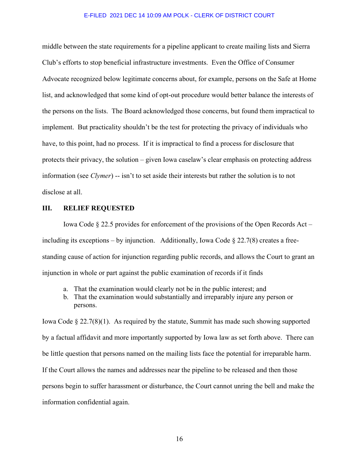middle between the state requirements for a pipeline applicant to create mailing lists and Sierra Club's efforts to stop beneficial infrastructure investments. Even the Office of Consumer Advocate recognized below legitimate concerns about, for example, persons on the Safe at Home list, and acknowledged that some kind of opt-out procedure would better balance the interests of the persons on the lists. The Board acknowledged those concerns, but found them impractical to implement. But practicality shouldn't be the test for protecting the privacy of individuals who have, to this point, had no process. If it is impractical to find a process for disclosure that protects their privacy, the solution – given Iowa caselaw's clear emphasis on protecting address information (see *Clymer*) -- isn't to set aside their interests but rather the solution is to not disclose at all.

## **III. RELIEF REQUESTED**

Iowa Code § 22.5 provides for enforcement of the provisions of the Open Records Act – including its exceptions – by injunction. Additionally, Iowa Code  $\S 22.7(8)$  creates a freestanding cause of action for injunction regarding public records, and allows the Court to grant an injunction in whole or part against the public examination of records if it finds

- a. That the examination would clearly not be in the public interest; and
- b. That the examination would substantially and irreparably injure any person or persons.

Iowa Code  $\S 22.7(8)(1)$ . As required by the statute, Summit has made such showing supported by a factual affidavit and more importantly supported by Iowa law as set forth above. There can be little question that persons named on the mailing lists face the potential for irreparable harm. If the Court allows the names and addresses near the pipeline to be released and then those persons begin to suffer harassment or disturbance, the Court cannot unring the bell and make the information confidential again.